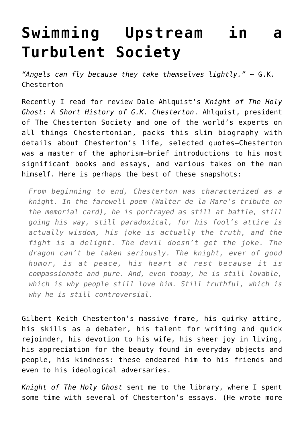## **[Swimming Upstream in a](https://intellectualtakeout.org/2019/03/swimming-upstream-in-a-turbulent-society/) [Turbulent Society](https://intellectualtakeout.org/2019/03/swimming-upstream-in-a-turbulent-society/)**

*"Angels can fly because they take themselves lightly." ~* G.K. Chesterton

Recently I read for review Dale Ahlquist's *Knight of The Holy Ghost: A Short History of G.K. Chesterton*. Ahlquist, president of The Chesterton Society and one of the world's experts on all things Chestertonian, packs this slim biography with details about Chesterton's life, selected quotes—Chesterton was a master of the aphorism—brief introductions to his most significant books and essays, and various takes on the man himself. Here is perhaps the best of these snapshots:

*From beginning to end, Chesterton was characterized as a knight. In the farewell poem (Walter de la Mare's tribute on the memorial card), he is portrayed as still at battle, still going his way, still paradoxical, for his fool's attire is actually wisdom, his joke is actually the truth, and the fight is a delight. The devil doesn't get the joke. The dragon can't be taken seriously. The knight, ever of good humor, is at peace, his heart at rest because it is compassionate and pure. And, even today, he is still lovable, which is why people still love him. Still truthful, which is why he is still controversial.*

Gilbert Keith Chesterton's massive frame, his quirky attire, his skills as a debater, his talent for writing and quick rejoinder, his devotion to his wife, his sheer joy in living, his appreciation for the beauty found in everyday objects and people, his kindness: these endeared him to his friends and even to his ideological adversaries.

*Knight of The Holy Ghost* sent me to the library, where I spent some time with several of Chesterton's essays. (He wrote more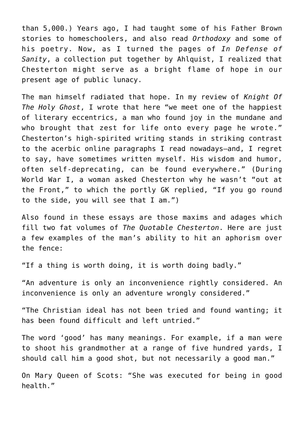than 5,000.) Years ago, I had taught some of his Father Brown stories to homeschoolers, and also read *Orthodoxy* and some of his poetry. Now, as I turned the pages of *In Defense of Sanity*, a collection put together by Ahlquist, I realized that Chesterton might serve as a bright flame of hope in our present age of public lunacy.

The man himself radiated that hope. In my review of *Knight Of The Holy Ghost*, I wrote that here "we meet one of the happiest of literary eccentrics, a man who found joy in the mundane and who brought that zest for life onto every page he wrote." Chesterton's high-spirited writing stands in striking contrast to the acerbic online paragraphs I read nowadays—and, I regret to say, have sometimes written myself. His wisdom and humor, often self-deprecating, can be found everywhere." (During World War I, a woman asked Chesterton why he wasn't "out at the Front," to which the portly GK replied, "If you go round to the side, you will see that I am.")

Also found in these essays are those maxims and adages which fill two fat volumes of *The Quotable Chesterton*. Here are just a few examples of the man's ability to hit an aphorism over the fence:

"If a thing is worth doing, it is worth doing badly."

"An adventure is only an inconvenience rightly considered. An inconvenience is only an adventure wrongly considered."

"The Christian ideal has not been tried and found wanting; it has been found difficult and left untried."

The word 'good' has many meanings. For example, if a man were to shoot his grandmother at a range of five hundred yards, I should call him a good shot, but not necessarily a good man."

On Mary Queen of Scots: "She was executed for being in good health."